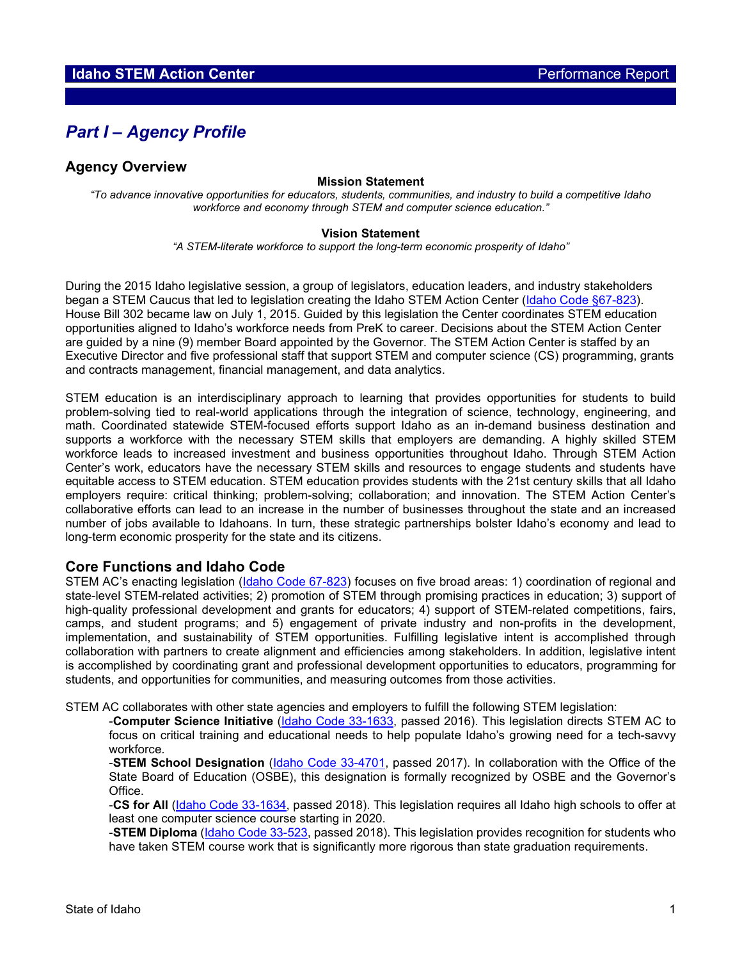# *Part I – Agency Profile*

### **Agency Overview**

#### **Mission Statement**

*"To advance innovative opportunities for educators, students, communities, and industry to build a competitive Idaho workforce and economy through STEM and computer science education."*

#### **Vision Statement**

*"A STEM-literate workforce to support the long-term economic prosperity of Idaho"*

During the 2015 Idaho legislative session, a group of legislators, education leaders, and industry stakeholders began a STEM Caucus that led to legislation creating the Idaho STEM Action Center [\(Idaho Code §67-823\)](https://legislature.idaho.gov/statutesrules/idstat/title67/t67ch8/sect67-823/). House Bill 302 became law on July 1, 2015. Guided by this legislation the Center coordinates STEM education opportunities aligned to Idaho's workforce needs from PreK to career. Decisions about the STEM Action Center are guided by a nine (9) member Board appointed by the Governor. The STEM Action Center is staffed by an Executive Director and five professional staff that support STEM and computer science (CS) programming, grants and contracts management, financial management, and data analytics.

STEM education is an interdisciplinary approach to learning that provides opportunities for students to build problem-solving tied to real-world applications through the integration of science, technology, engineering, and math. Coordinated statewide STEM-focused efforts support Idaho as an in-demand business destination and supports a workforce with the necessary STEM skills that employers are demanding. A highly skilled STEM workforce leads to increased investment and business opportunities throughout Idaho. Through STEM Action Center's work, educators have the necessary STEM skills and resources to engage students and students have equitable access to STEM education. STEM education provides students with the 21st century skills that all Idaho employers require: critical thinking; problem-solving; collaboration; and innovation. The STEM Action Center's collaborative efforts can lead to an increase in the number of businesses throughout the state and an increased number of jobs available to Idahoans. In turn, these strategic partnerships bolster Idaho's economy and lead to long-term economic prosperity for the state and its citizens.

#### **Core Functions and Idaho Code**

STEM AC's enacting legislation [\(Idaho Code 67-823\)](https://legislature.idaho.gov/statutesrules/idstat/title67/t67ch8/sect67-823/#:%7E:text=67%2D823.,AND%20MATH%20EDUCATION%20IN%20IDAHO.&text=(6)%20The%20duties%20and%20oversight,the%20state%20board%20of%20education.) focuses on five broad areas: 1) coordination of regional and state-level STEM-related activities; 2) promotion of STEM through promising practices in education; 3) support of high-quality professional development and grants for educators; 4) support of STEM-related competitions, fairs, camps, and student programs; and 5) engagement of private industry and non-profits in the development, implementation, and sustainability of STEM opportunities. Fulfilling legislative intent is accomplished through collaboration with partners to create alignment and efficiencies among stakeholders. In addition, legislative intent is accomplished by coordinating grant and professional development opportunities to educators, programming for students, and opportunities for communities, and measuring outcomes from those activities.

STEM AC collaborates with other state agencies and employers to fulfill the following STEM legislation:

-**Computer Science Initiative** [\(Idaho Code 33-1633,](https://legislature.idaho.gov/statutesrules/idstat/title33/t33ch16/sect33-1633/) passed 2016). This legislation directs STEM AC to focus on critical training and educational needs to help populate Idaho's growing need for a tech-savvy workforce.

-**STEM School Designation** [\(Idaho Code 33-4701,](https://legislature.idaho.gov/statutesrules/idstat/title33/t33ch47/sect33-4701/) passed 2017). In collaboration with the Office of the State Board of Education (OSBE), this designation is formally recognized by OSBE and the Governor's Office.

-**CS for All** [\(Idaho Code 33-1634,](https://legislature.idaho.gov/statutesrules/idstat/title33/t33ch16/sect33-1634/) passed 2018). This legislation requires all Idaho high schools to offer at least one computer science course starting in 2020.

-**STEM Diploma** [\(Idaho Code 33-523,](https://legislature.idaho.gov/statutesrules/idstat/title33/t33ch5/sect33-523/#:%7E:text=33%2D523.,%2C%20technology%2C%20engineering%20and%20mathematics.&text=(5)%20Each%20school%20district%20and,the%20requirements%20of%20this%20section.) passed 2018). This legislation provides recognition for students who have taken STEM course work that is significantly more rigorous than state graduation requirements.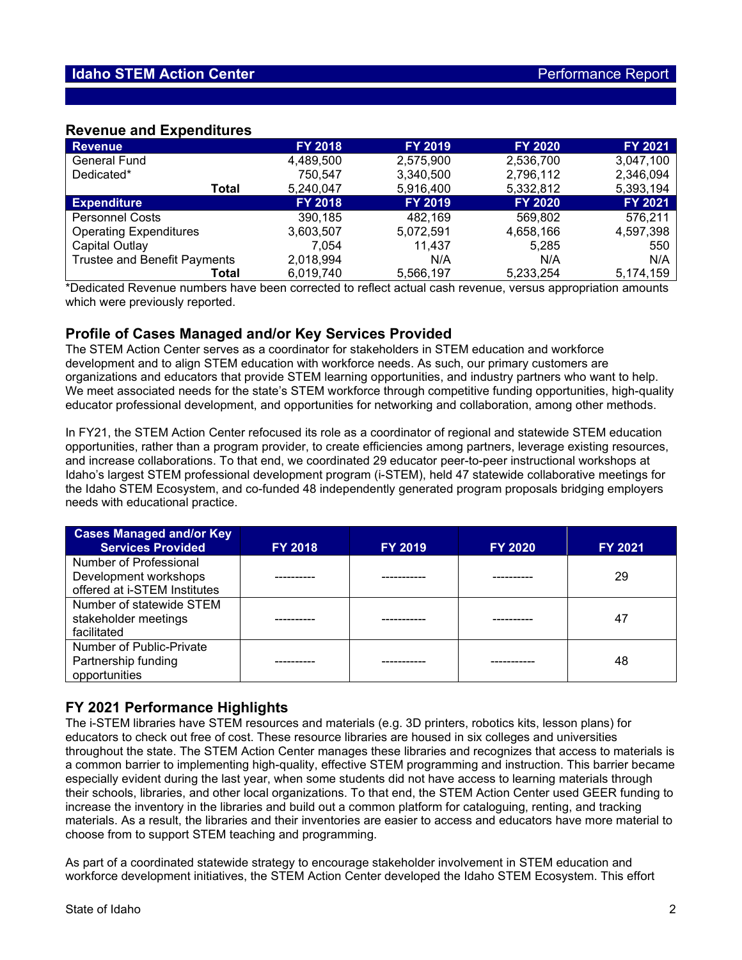### **Revenue and Expenditures**

| <b>Revenue</b>                      | <b>FY 2018</b> | <b>FY 2019</b> | <b>FY 2020</b> | <b>FY 2021</b> |
|-------------------------------------|----------------|----------------|----------------|----------------|
| <b>General Fund</b>                 | 4,489,500      | 2,575,900      | 2,536,700      | 3,047,100      |
| Dedicated*                          | 750,547        | 3,340,500      | 2,796,112      | 2,346,094      |
| Total                               | 5,240,047      | 5,916,400      | 5,332,812      | 5,393,194      |
| <b>Expenditure</b>                  | <b>FY 2018</b> | <b>FY 2019</b> | <b>FY 2020</b> | <b>FY 2021</b> |
| <b>Personnel Costs</b>              | 390,185        | 482,169        | 569,802        | 576,211        |
| <b>Operating Expenditures</b>       | 3,603,507      | 5,072,591      | 4,658,166      | 4,597,398      |
| Capital Outlay                      | 7,054          | 11.437         | 5,285          | 550            |
| <b>Trustee and Benefit Payments</b> | 2,018,994      | N/A            | N/A            | N/A            |
| Total                               | 6,019,740      | 5,566,197      | 5,233,254      | 5,174,159      |

\*Dedicated Revenue numbers have been corrected to reflect actual cash revenue, versus appropriation amounts which were previously reported.

## **Profile of Cases Managed and/or Key Services Provided**

The STEM Action Center serves as a coordinator for stakeholders in STEM education and workforce development and to align STEM education with workforce needs. As such, our primary customers are organizations and educators that provide STEM learning opportunities, and industry partners who want to help. We meet associated needs for the state's STEM workforce through competitive funding opportunities, high-quality educator professional development, and opportunities for networking and collaboration, among other methods.

In FY21, the STEM Action Center refocused its role as a coordinator of regional and statewide STEM education opportunities, rather than a program provider, to create efficiencies among partners, leverage existing resources, and increase collaborations. To that end, we coordinated 29 educator peer-to-peer instructional workshops at Idaho's largest STEM professional development program (i-STEM), held 47 statewide collaborative meetings for the Idaho STEM Ecosystem, and co-funded 48 independently generated program proposals bridging employers needs with educational practice.

| <b>Cases Managed and/or Key</b><br><b>Services Provided</b>                     | <b>FY 2018</b> | <b>FY 2019</b> | <b>FY 2020</b> | <b>FY 2021</b> |
|---------------------------------------------------------------------------------|----------------|----------------|----------------|----------------|
| Number of Professional<br>Development workshops<br>offered at i-STEM Institutes |                |                |                | 29             |
| Number of statewide STEM<br>stakeholder meetings<br>facilitated                 |                |                |                | 47             |
| Number of Public-Private<br>Partnership funding<br>opportunities                |                |                |                | 48             |

## **FY 2021 Performance Highlights**

The i-STEM libraries have STEM resources and materials (e.g. 3D printers, robotics kits, lesson plans) for educators to check out free of cost. These resource libraries are housed in six colleges and universities throughout the state. The STEM Action Center manages these libraries and recognizes that access to materials is a common barrier to implementing high-quality, effective STEM programming and instruction. This barrier became especially evident during the last year, when some students did not have access to learning materials through their schools, libraries, and other local organizations. To that end, the STEM Action Center used GEER funding to increase the inventory in the libraries and build out a common platform for cataloguing, renting, and tracking materials. As a result, the libraries and their inventories are easier to access and educators have more material to choose from to support STEM teaching and programming.

As part of a coordinated statewide strategy to encourage stakeholder involvement in STEM education and workforce development initiatives, the STEM Action Center developed the Idaho STEM Ecosystem. This effort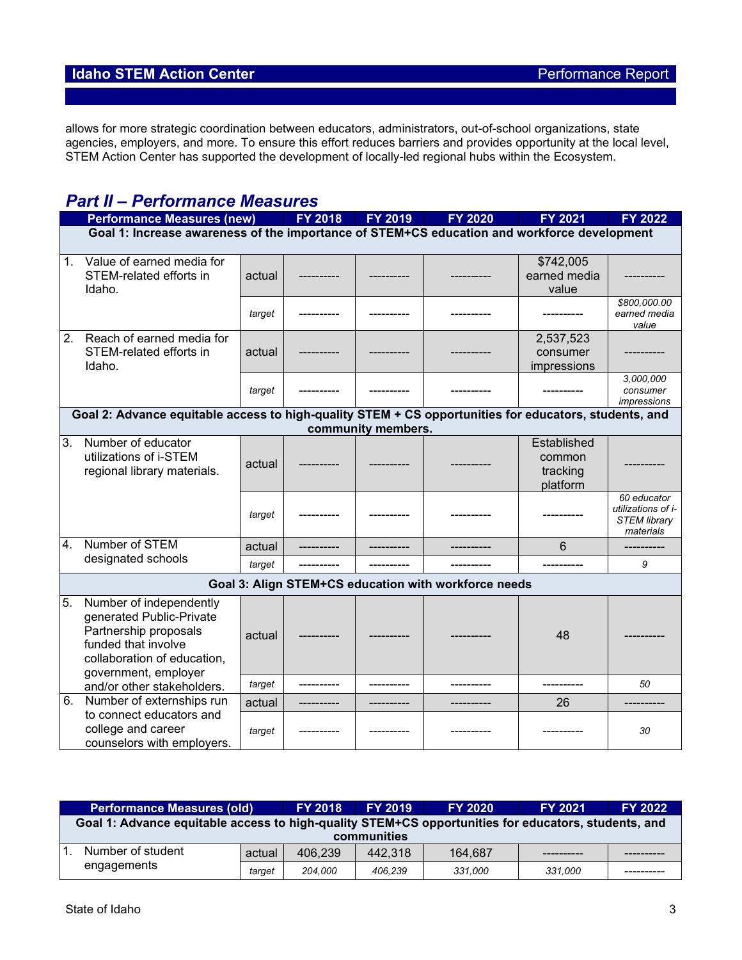# **Idaho STEM Action Center Performance Report**

allows for more strategic coordination between educators, administrators, out-of-school organizations, state agencies, employers, and more. To ensure this effort reduces barriers and provides opportunity at the local level, STEM Action Center has supported the development of locally-led regional hubs within the Ecosystem.

# *Part II – Performance Measures*

|                  | <b>Performance Measures (new)</b>                                                                                                                          |        | <b>FY 2018</b> | <b>FY 2019</b>     | <b>FY 2020</b>                                       | <b>FY 2021</b> | <b>FY 2022</b>                                                        |  |  |
|------------------|------------------------------------------------------------------------------------------------------------------------------------------------------------|--------|----------------|--------------------|------------------------------------------------------|----------------|-----------------------------------------------------------------------|--|--|
|                  | Goal 1: Increase awareness of the importance of STEM+CS education and workforce development                                                                |        |                |                    |                                                      |                |                                                                       |  |  |
|                  |                                                                                                                                                            |        |                |                    |                                                      |                |                                                                       |  |  |
| 1.               | Value of earned media for                                                                                                                                  |        |                |                    |                                                      | \$742,005      |                                                                       |  |  |
|                  | STEM-related efforts in                                                                                                                                    | actual |                |                    |                                                      | earned media   |                                                                       |  |  |
|                  | Idaho.                                                                                                                                                     |        |                |                    |                                                      | value          |                                                                       |  |  |
|                  |                                                                                                                                                            | target |                |                    |                                                      |                | \$800,000.00<br>earned media<br>value                                 |  |  |
| 2.               | Reach of earned media for                                                                                                                                  |        |                |                    |                                                      | 2,537,523      |                                                                       |  |  |
|                  | STEM-related efforts in                                                                                                                                    | actual |                |                    |                                                      | consumer       |                                                                       |  |  |
|                  | Idaho.                                                                                                                                                     |        |                |                    |                                                      | impressions    |                                                                       |  |  |
|                  |                                                                                                                                                            |        |                |                    |                                                      |                | 3,000,000                                                             |  |  |
|                  |                                                                                                                                                            | target |                |                    |                                                      |                | consumer<br>impressions                                               |  |  |
|                  | Goal 2: Advance equitable access to high-quality STEM + CS opportunities for educators, students, and                                                      |        |                |                    |                                                      |                |                                                                       |  |  |
|                  |                                                                                                                                                            |        |                | community members. |                                                      |                |                                                                       |  |  |
| 3.               | Number of educator                                                                                                                                         |        |                |                    |                                                      | Established    |                                                                       |  |  |
|                  | utilizations of i-STEM                                                                                                                                     | actual |                |                    |                                                      | common         |                                                                       |  |  |
|                  | regional library materials.                                                                                                                                |        |                |                    |                                                      | tracking       |                                                                       |  |  |
|                  |                                                                                                                                                            |        |                |                    |                                                      | platform       |                                                                       |  |  |
|                  |                                                                                                                                                            | target |                |                    |                                                      |                | 60 educator<br>utilizations of i-<br><b>STEM library</b><br>materials |  |  |
| $\overline{4}$ . | Number of STEM                                                                                                                                             | actual |                |                    |                                                      | 6              | ----------                                                            |  |  |
|                  | designated schools                                                                                                                                         | target |                |                    |                                                      |                | 9                                                                     |  |  |
|                  |                                                                                                                                                            |        |                |                    | Goal 3: Align STEM+CS education with workforce needs |                |                                                                       |  |  |
| 5.               | Number of independently<br>generated Public-Private<br>Partnership proposals<br>funded that involve<br>collaboration of education,<br>government, employer | actual |                |                    |                                                      | 48             |                                                                       |  |  |
|                  | and/or other stakeholders.                                                                                                                                 | target |                |                    |                                                      | ----------     | 50                                                                    |  |  |
| 6.               | Number of externships run                                                                                                                                  | actual |                |                    |                                                      | 26             |                                                                       |  |  |
|                  | to connect educators and<br>college and career<br>counselors with employers.                                                                               | target |                |                    |                                                      |                | 30                                                                    |  |  |

| <b>Performance Measures (old)</b> |                                                                                                     | <b>FY 2018</b> | <b>FY 2019</b> | <b>FY 2020</b> | <b>FY 2021</b> | <b>FY 2022</b> |  |  |  |
|-----------------------------------|-----------------------------------------------------------------------------------------------------|----------------|----------------|----------------|----------------|----------------|--|--|--|
|                                   | Goal 1: Advance equitable access to high-quality STEM+CS opportunities for educators, students, and |                |                |                |                |                |  |  |  |
| communities                       |                                                                                                     |                |                |                |                |                |  |  |  |
|                                   | Number of student<br>engagements                                                                    | actual         | 406.239        | 442.318        | 164.687        |                |  |  |  |
|                                   |                                                                                                     | target         | 204.000        | 406.239        | 331.000        | 331.000        |  |  |  |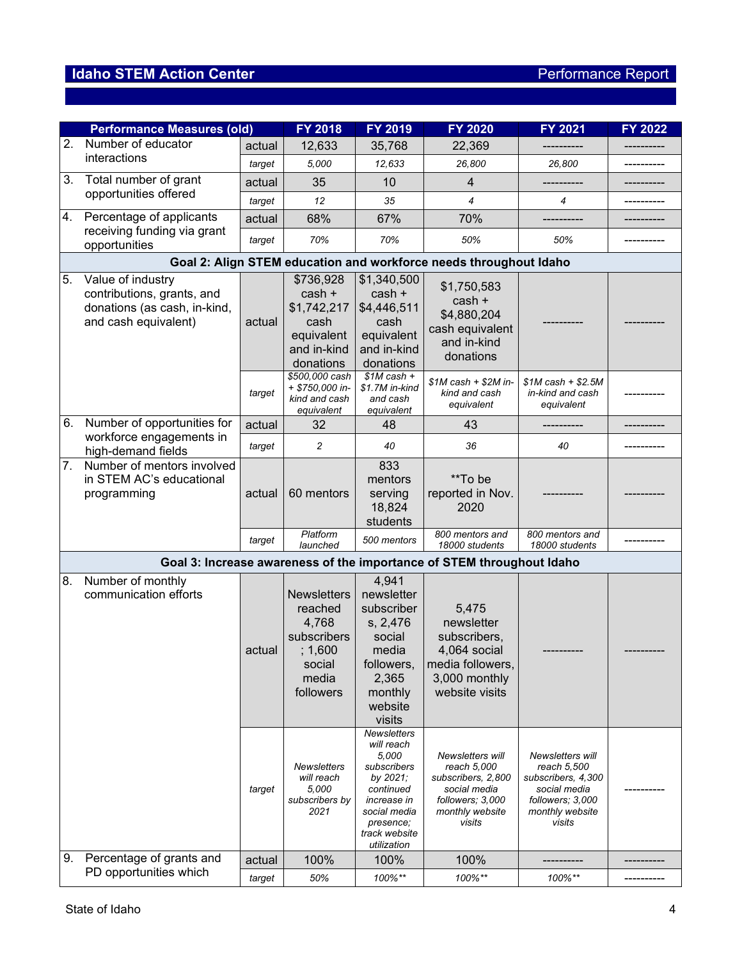# **Idaho STEM Action Center Performance Report**

|                | <b>Performance Measures (old)</b>                                                                       |                  | FY 2018                                                                                                                                                  | FY 2019                                                                                                                                                                                                                     | FY 2020                                                                                                                                                                                                 | <b>FY 2021</b>                                                                            | FY 2022    |  |  |  |
|----------------|---------------------------------------------------------------------------------------------------------|------------------|----------------------------------------------------------------------------------------------------------------------------------------------------------|-----------------------------------------------------------------------------------------------------------------------------------------------------------------------------------------------------------------------------|---------------------------------------------------------------------------------------------------------------------------------------------------------------------------------------------------------|-------------------------------------------------------------------------------------------|------------|--|--|--|
|                | 2. Number of educator                                                                                   | actual           | 12,633                                                                                                                                                   | 35,768                                                                                                                                                                                                                      | 22,369                                                                                                                                                                                                  |                                                                                           |            |  |  |  |
|                | interactions                                                                                            | target           | 5,000                                                                                                                                                    | 12,633                                                                                                                                                                                                                      | 26,800                                                                                                                                                                                                  | 26,800                                                                                    | ---------- |  |  |  |
| 3.             | Total number of grant                                                                                   | actual           | 35                                                                                                                                                       | 10                                                                                                                                                                                                                          | 4                                                                                                                                                                                                       |                                                                                           |            |  |  |  |
|                | opportunities offered                                                                                   | target           | 12                                                                                                                                                       | 35                                                                                                                                                                                                                          | $\overline{4}$                                                                                                                                                                                          | 4                                                                                         |            |  |  |  |
| 4.             | Percentage of applicants                                                                                | actual           | 68%                                                                                                                                                      | 67%                                                                                                                                                                                                                         | 70%                                                                                                                                                                                                     |                                                                                           |            |  |  |  |
|                | receiving funding via grant<br>opportunities                                                            | target           | 70%                                                                                                                                                      | 70%                                                                                                                                                                                                                         | 50%                                                                                                                                                                                                     | 50%                                                                                       |            |  |  |  |
|                | Goal 2: Align STEM education and workforce needs throughout Idaho                                       |                  |                                                                                                                                                          |                                                                                                                                                                                                                             |                                                                                                                                                                                                         |                                                                                           |            |  |  |  |
| 5.             | Value of industry<br>contributions, grants, and<br>donations (as cash, in-kind,<br>and cash equivalent) | actual           | \$736,928<br>$cash +$<br>\$1,742,217<br>cash<br>equivalent<br>and in-kind<br>donations                                                                   | \$1,340,500<br>cash +<br>\$4,446,511<br>cash<br>equivalent<br>and in-kind<br>donations                                                                                                                                      | \$1,750,583<br>cash +<br>\$4,880,204<br>cash equivalent<br>and in-kind<br>donations                                                                                                                     |                                                                                           |            |  |  |  |
|                |                                                                                                         | target           | \$500,000 cash<br>+ \$750,000 in-<br>kind and cash<br>equivalent                                                                                         | $$1M$ cash +<br>\$1.7M in-kind<br>and cash<br>equivalent                                                                                                                                                                    | $$1M$ cash + $$2M$ in-<br>kind and cash<br>equivalent                                                                                                                                                   | $$1M$ cash + \$2.5M<br>in-kind and cash<br>equivalent                                     |            |  |  |  |
| 6.             | Number of opportunities for                                                                             | actual           | 32                                                                                                                                                       | 48                                                                                                                                                                                                                          | 43                                                                                                                                                                                                      |                                                                                           |            |  |  |  |
|                | workforce engagements in<br>high-demand fields                                                          | target           | $\overline{c}$                                                                                                                                           | 40                                                                                                                                                                                                                          | 36                                                                                                                                                                                                      | 40                                                                                        |            |  |  |  |
| 7 <sub>1</sub> | Number of mentors involved<br>in STEM AC's educational<br>programming                                   | actual           | 60 mentors                                                                                                                                               | 833<br>mentors<br>serving<br>18,824<br>students                                                                                                                                                                             | **To be<br>reported in Nov.<br>2020                                                                                                                                                                     |                                                                                           |            |  |  |  |
|                |                                                                                                         | target           | Platform<br>launched                                                                                                                                     | 500 mentors                                                                                                                                                                                                                 | 800 mentors and<br>18000 students                                                                                                                                                                       | 800 mentors and<br>18000 students                                                         |            |  |  |  |
|                |                                                                                                         |                  |                                                                                                                                                          |                                                                                                                                                                                                                             | Goal 3: Increase awareness of the importance of STEM throughout Idaho                                                                                                                                   |                                                                                           |            |  |  |  |
| 8.             | Number of monthly<br>communication efforts                                                              | actual<br>target | <b>Newsletters</b><br>reached<br>4,768<br>subscribers<br>; 1,600<br>social<br>media<br>followers<br>Newsletters<br>will reach<br>5.000<br>subscribers by | 4,941<br>newsletter<br>subscriber<br>s, 2,476<br>social<br>media<br>followers,<br>2,365<br>monthly<br>website<br>visits<br><b>Newsletters</b><br>will reach<br>5,000<br>subscribers<br>by 2021;<br>continued<br>increase in | 5,475<br>newsletter<br>subscribers,<br>4,064 social<br>media followers,<br>3,000 monthly<br>website visits<br>Newsletters will<br>reach 5,000<br>subscribers, 2,800<br>social media<br>followers; 3,000 | Newsletters will<br>reach 5,500<br>subscribers, 4,300<br>social media<br>followers; 3,000 |            |  |  |  |
| 9.             | Percentage of grants and<br>PD opportunities which                                                      | actual           | 2021<br>100%                                                                                                                                             | social media<br>presence;<br>track website<br>utilization<br>100%                                                                                                                                                           | monthly website<br>visits<br>100%                                                                                                                                                                       | monthly website<br>visits                                                                 |            |  |  |  |
|                |                                                                                                         | target           | 50%                                                                                                                                                      | 100%**                                                                                                                                                                                                                      | 100%**                                                                                                                                                                                                  | 100%**                                                                                    |            |  |  |  |